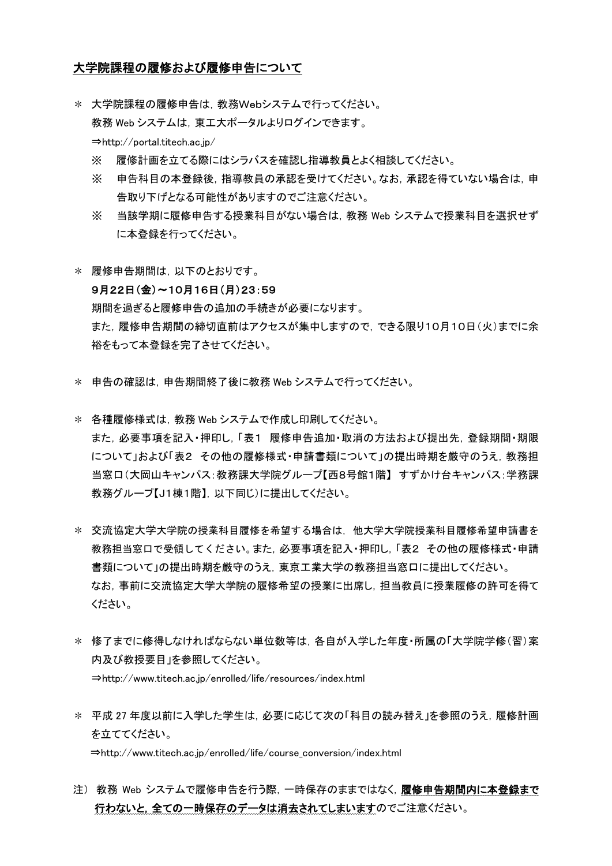## 大学院課程の履修および履修申告について

- \* 大学院課程の履修申告は,教務Webシステムで行ってください。 教務 Web システムは,東工大ポータルよりログインできます。 ⇒http://portal.titech.ac.jp/
	- ※ 履修計画を立てる際にはシラバスを確認し指導教員とよく相談してください。
	- ※ 申告科目の本登録後,指導教員の承認を受けてください。なお,承認を得ていない場合は,申 告取り下げとなる可能性がありますのでご注意ください。
	- ※ 当該学期に履修申告する授業科目がない場合は,教務 Web システムで授業科目を選択せず に本登録を行ってください。
- \* 履修申告期間は,以下のとおりです。

## 9月22日(金)~10月16日(月)23:59

期間を過ぎると履修申告の追加の手続きが必要になります。 また,履修申告期間の締切直前はアクセスが集中しますので,できる限り10月10日(火)までに余 裕をもって本登録を完了させてください。

- \* 申告の確認は,申告期間終了後に教務 Web システムで行ってください。
- \* 各種履修様式は,教務 Web システムで作成し印刷してください。 また,必要事項を記入・押印し,「表1 履修申告追加・取消の方法および提出先,登録期間・期限 について」および「表2 その他の履修様式・申請書類について」の提出時期を厳守のうえ, 教務担 当窓口(大岡山キャンパス:教務課大学院グループ【西8号館1階】 すずかけ台キャンパス:学務課 教務グループ【J1棟1階】,以下同じ)に提出してください。
- \* 交流協定大学大学院の授業科目履修を希望する場合は,他大学大学院授業科目履修希望申請書を 教務担当窓口で受領してください。また,必要事項を記入・押印し,「表2 その他の履修様式・申請 書類について」の提出時期を厳守のうえ,東京工業大学の教務担当窓口に提出してください。 なお,事前に交流協定大学大学院の履修希望の授業に出席し,担当教員に授業履修の許可を得て ください。
- \* 修了までに修得しなければならない単位数等は,各自が入学した年度・所属の「大学院学修(習)案 内及び教授要目」を参照してください。 ⇒http://www.titech.ac.jp/enrolled/life/resources/index.html
- \* 平成 27 年度以前に入学した学生は,必要に応じて次の「科目の読み替え」を参照のうえ,履修計画 を立ててください。 ⇒http://www.titech.ac.jp/enrolled/life/course\_conversion/index.html
- 注) 教務 Web システムで履修申告を行う際,一時保存のままではなく,履修申告期間内に本登録まで 行わないと,全ての一時保存のデータは消去されてしまいますのでご注意ください。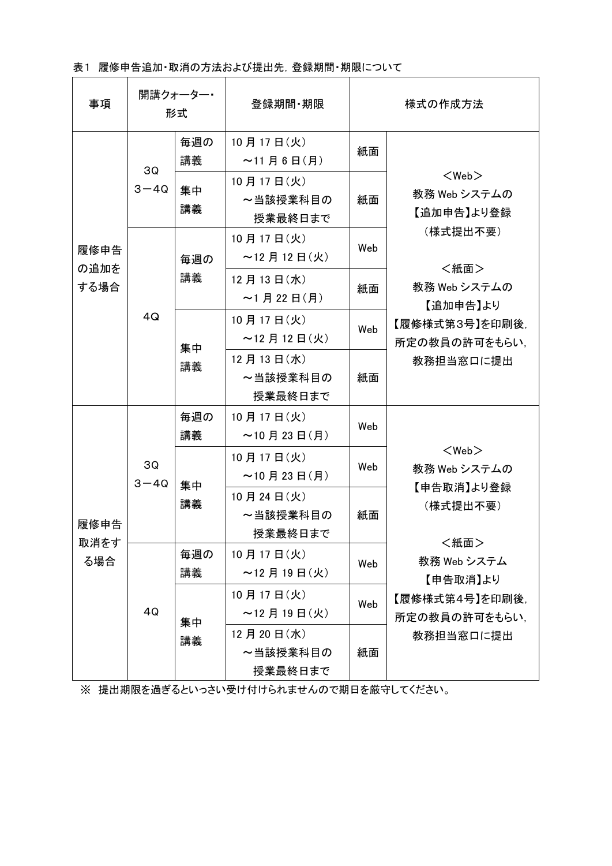表1 履修申告追加・取消の方法および提出先, 登録期間・期限について

| 事項                   | 開講クォーター・<br>形式 |           | 登録期間 期限                          | 様式の作成方法 |                                                                                                                                           |
|----------------------|----------------|-----------|----------------------------------|---------|-------------------------------------------------------------------------------------------------------------------------------------------|
| 履修申告<br>の追加を<br>する場合 | 3Q<br>$3 - 4Q$ | 毎週の<br>講義 | 10月17日(火)<br>$~11$ 月 6 日(月)      | 紙面      | $<$ Web $>$<br>教務 Web システムの<br>【追加申告】より登録<br>(様式提出不要)<br><紙面><br>教務 Web システムの<br>【追加申告】より<br>【履修様式第3号】を印刷後,<br>所定の教員の許可をもらい、<br>教務担当窓口に提出 |
|                      |                | 集中<br>講義  | 10月17日(火)<br>~当該授業科目の<br>授業最終日まで | 紙面      |                                                                                                                                           |
|                      | 4Q             | 毎週の<br>講義 | 10月17日(火)<br>$~12$ 月 12 日(火)     | Web     |                                                                                                                                           |
|                      |                |           | 12月13日(水)<br>$~1$ 月 22 日(月)      | 紙面      |                                                                                                                                           |
|                      |                | 集中<br>講義  | 10月17日(火)<br>$\sim$ 12 月 12 日(火) | Web     |                                                                                                                                           |
|                      |                |           | 12月13日(水)<br>~当該授業科目の<br>授業最終日まで | 紙面      |                                                                                                                                           |
| 履修申告<br>取消をす<br>る場合  | 3Q<br>$3 - 4Q$ | 毎週の<br>講義 | 10月17日(火)<br>$~10$ 月 23 日(月)     | Web     | $<$ Web $>$<br>教務 Web システムの<br>【申告取消】より登録<br>(様式提出不要)<br><紙面><br>教務 Web システム<br>【申告取消】より<br>【履修様式第4号】を印刷後.<br>所定の教員の許可をもらい、<br>教務担当窓口に提出  |
|                      |                | 集中<br>講義  | 10月17日(火)<br>$\sim$ 10 月 23 日(月) | Web     |                                                                                                                                           |
|                      |                |           | 10月24日(火)<br>~当該授業科目の<br>授業最終日まで | 紙面      |                                                                                                                                           |
|                      | 4Q             | 毎週の<br>講義 | 10月17日(火)<br>~12月19日(火)          | Web     |                                                                                                                                           |
|                      |                | 集中<br>講義  | 10月17日(火)<br>$~12$ 月 19 日 (火)    | Web     |                                                                                                                                           |
|                      |                |           | 12月20日(水)<br>~当該授業科目の<br>授業最終日まで | 紙面      |                                                                                                                                           |

※ 提出期限を過ぎるといっさい受け付けられませんので期日を厳守してください。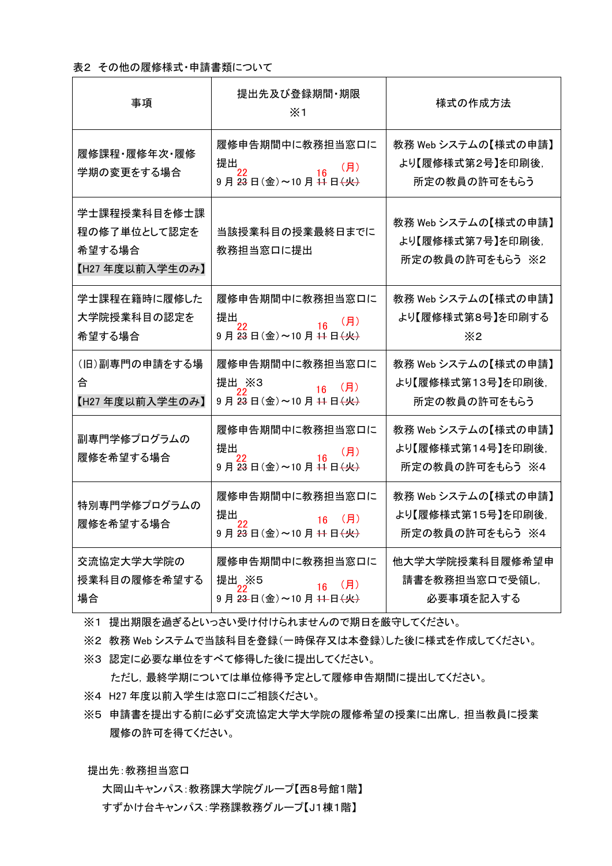## 表2 その他の履修様式・申請書類について

| 事項                                                       | 提出先及び登録期間・期限<br>$\times$ 1                                                                                                           | 様式の作成方法                                                     |
|----------------------------------------------------------|--------------------------------------------------------------------------------------------------------------------------------------|-------------------------------------------------------------|
| 履修課程・履修年次・履修<br>学期の変更をする場合                               | 履修申告期間中に教務担当窓口に<br>提出<br>(月)<br>$\overline{16}$<br>9月23日(金)~10月11日 <del>(火)</del>                                                    | 教務 Web システムの【様式の申請】<br>より【履修様式第2号】を印刷後,<br>所定の教員の許可をもらう     |
| 学士課程授業科目を修士課<br>程の修了単位として認定を<br>希望する場合<br>【H27年度以前入学生のみ】 | 当該授業科目の授業最終日までに<br>教務担当窓口に提出                                                                                                         | 教務 Web システムの【様式の申請】<br>より【履修様式第7号】を印刷後,<br>所定の教員の許可をもらう ※2  |
| 学士課程在籍時に履修した<br>大学院授業科目の認定を<br>希望する場合                    | 履修申告期間中に教務担当窓口に<br>提出<br>22<br>$\frac{16}{16}$<br>(月)<br>$9$ 月 $\overline{23}$ 日 $(\hat{2})$ ~10月 $\overline{11}$ 日 $(\overline{4})$ | 教務 Web システムの【様式の申請】<br>より【履修様式第8号】を印刷する<br>$\times 2$       |
| (旧)副専門の申請をする場<br>合<br>【H27年度以前入学生のみ】                     | 履修申告期間中に教務担当窓口に<br>提出 <sub>__</sub> ,※3<br>(H)<br>16<br>9月23日(金)~10月11日(火)                                                           | 教務 Web システムの【様式の申請】<br>より【履修様式第13号】を印刷後,<br>所定の教員の許可をもらう    |
| 副専門学修プログラムの<br>履修を希望する場合                                 | 履修申告期間中に教務担当窓口に<br>提出<br>(月)<br>"<br>9 月 <del>23</del> 日(金)~10 月 <del>11</del> 日 <del>(火)</del>                                      | 教務 Web システムの【様式の申請】<br>より【履修様式第14号】を印刷後,<br>所定の教員の許可をもらう ※4 |
| 特別専門学修プログラムの<br>履修を希望する場合                                | 履修申告期間中に教務担当窓口に<br>提出<br>$16$ (月)<br>9月23日(金)~10月11日(火)                                                                              | 教務 Web システムの【様式の申請】<br>より【履修様式第15号】を印刷後.<br>所定の教員の許可をもらう ※4 |
| 交流協定大学大学院の<br>授業科目の履修を希望する<br>場合                         | 履修申告期間中に教務担当窓口に<br>提出 ※5<br>$16$ (月)<br>9月23日(金)~10月11日(火)                                                                           | 他大学大学院授業科目履修希望申<br>請書を教務担当窓口で受領し,<br>必要事項を記入する              |

※1 提出期限を過ぎるといっさい受け付けられませんので期日を厳守してください。

※2 教務 Web システムで当該科目を登録(一時保存又は本登録)した後に様式を作成してください。

※3 認定に必要な単位をすべて修得した後に提出してください。

ただし,最終学期については単位修得予定として履修申告期間に提出してください。

- ※4 H27 年度以前入学生は窓口にご相談ください。
- ※5 申請書を提出する前に必ず交流協定大学大学院の履修希望の授業に出席し,担当教員に授業 履修の許可を得てください。

提出先:教務担当窓口

大岡山キャンパス:教務課大学院グループ【西8号館1階】 すずかけ台キャンパス:学務課教務グループ【J1棟1階】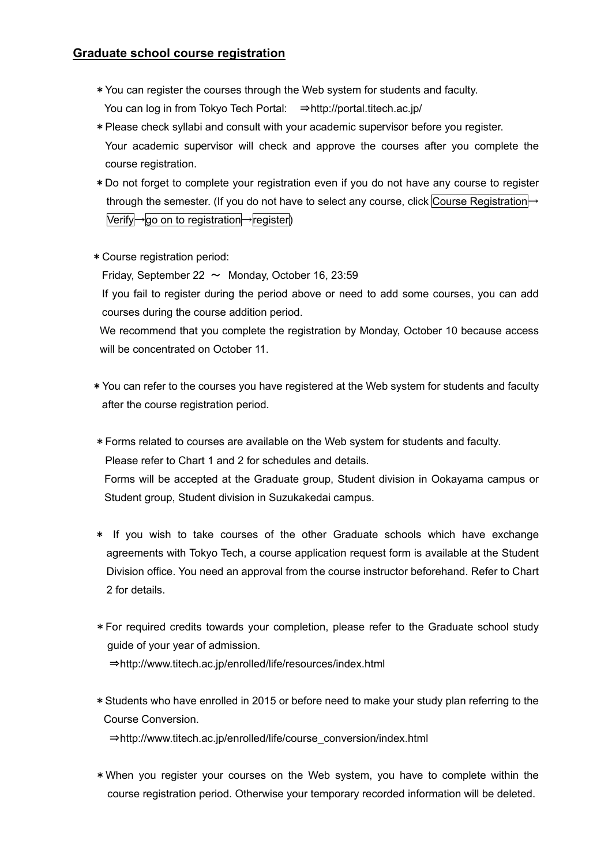## **Graduate school course registration**

- \*You can register the courses through the Web system for students and faculty. You can log in from Tokyo Tech Portal: ⇒http://portal.titech.ac.jp/
- \*Please check syllabi and consult with your academic supervisor before you register. Your academic supervisor will check and approve the courses after you complete the course registration.
- \*Do not forget to complete your registration even if you do not have any course to register through the semester. (If you do not have to select any course, click Course Registration→ Verify→go on to registration→register)
- \*Course registration period:

Friday, September 22  $\sim$  Monday, October 16, 23:59

If you fail to register during the period above or need to add some courses, you can add courses during the course addition period.

We recommend that you complete the registration by Monday, October 10 because access will be concentrated on October 11.

\*You can refer to the courses you have registered at the Web system for students and faculty after the course registration period.

\*Forms related to courses are available on the Web system for students and faculty. Please refer to Chart 1 and 2 for schedules and details. Forms will be accepted at the Graduate group, Student division in Ookayama campus or Student group, Student division in Suzukakedai campus.

- \* If you wish to take courses of the other Graduate schools which have exchange agreements with Tokyo Tech, a course application request form is available at the Student Division office. You need an approval from the course instructor beforehand. Refer to Chart 2 for details.
- \*For required credits towards your completion, please refer to the Graduate school study guide of your year of admission. ⇒http://www.titech.ac.jp/enrolled/life/resources/index.html
- \*Students who have enrolled in 2015 or before need to make your study plan referring to the Course Conversion. ⇒http://www.titech.ac.jp/enrolled/life/course\_conversion/index.html
- \*When you register your courses on the Web system, you have to complete within the course registration period. Otherwise your temporary recorded information will be deleted.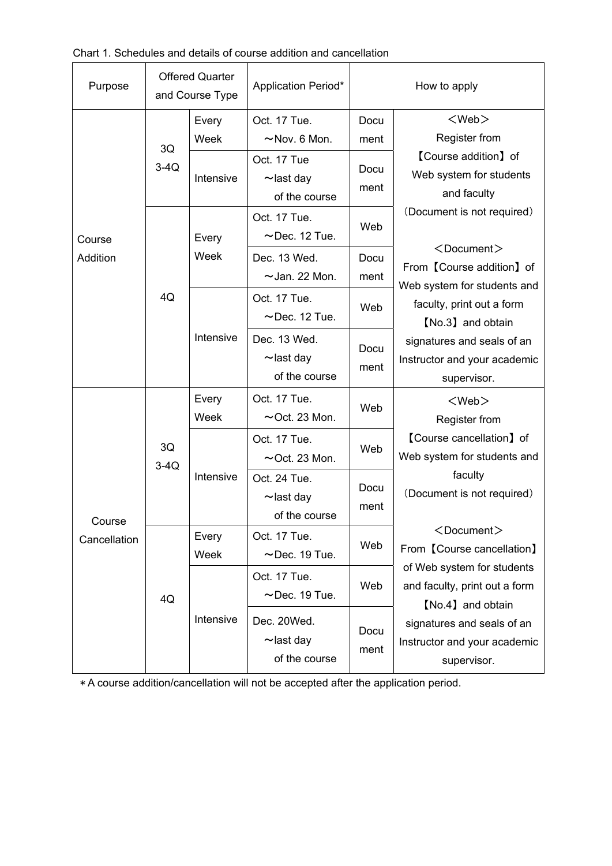| Purpose                | <b>Offered Quarter</b><br>and Course Type |               | Application Period*                              | How to apply |                                                                                                                                                                                                                                                                                                                                                                        |
|------------------------|-------------------------------------------|---------------|--------------------------------------------------|--------------|------------------------------------------------------------------------------------------------------------------------------------------------------------------------------------------------------------------------------------------------------------------------------------------------------------------------------------------------------------------------|
| Course<br>Addition     | 3Q<br>$3-4Q$                              | Every<br>Week | Oct. 17 Tue.<br>$~\sim$ Nov. 6 Mon.              | Docu<br>ment | $<$ Web $>$<br>Register from<br><b>[Course addition]</b> of<br>Web system for students<br>and faculty                                                                                                                                                                                                                                                                  |
|                        |                                           | Intensive     | Oct. 17 Tue<br>$\sim$ last day<br>of the course  | Docu<br>ment |                                                                                                                                                                                                                                                                                                                                                                        |
|                        | 4Q                                        | Every         | Oct. 17 Tue.<br>$\sim$ Dec. 12 Tue.              | Web          | (Document is not required)<br>$<$ Document $>$<br>From 【Course addition】of<br>Web system for students and<br>faculty, print out a form<br>[No.3] and obtain<br>signatures and seals of an<br>Instructor and your academic<br>supervisor.                                                                                                                               |
|                        |                                           | Week          | Dec. 13 Wed.<br>$\sim$ Jan. 22 Mon.              | Docu<br>ment |                                                                                                                                                                                                                                                                                                                                                                        |
|                        |                                           | Intensive     | Oct. 17 Tue.<br>$\sim$ Dec. 12 Tue.              | Web          |                                                                                                                                                                                                                                                                                                                                                                        |
|                        |                                           |               | Dec. 13 Wed.<br>$\sim$ last day<br>of the course | Docu<br>ment |                                                                                                                                                                                                                                                                                                                                                                        |
|                        | 3Q<br>$3-4Q$                              | Every<br>Week | Oct. 17 Tue.<br>$\sim$ Oct. 23 Mon.              | Web          | $<$ Web $>$<br><b>Register from</b><br>[Course cancellation] of<br>Web system for students and<br>faculty<br>(Document is not required)<br><document><br/>From 【Course cancellation】<br/>of Web system for students<br/>and faculty, print out a form<br/>[No.4] and obtain<br/>signatures and seals of an<br/>Instructor and your academic<br/>supervisor.</document> |
|                        |                                           | Intensive     | Oct. 17 Tue.<br>$\sim$ Oct. 23 Mon.              | Web          |                                                                                                                                                                                                                                                                                                                                                                        |
| Course<br>Cancellation |                                           |               | Oct. 24 Tue.<br>$\sim$ last day<br>of the course | Docu<br>ment |                                                                                                                                                                                                                                                                                                                                                                        |
|                        | 4Q                                        | Every<br>Week | Oct. 17 Tue.<br>$\sim$ Dec. 19 Tue.              | Web          |                                                                                                                                                                                                                                                                                                                                                                        |
|                        |                                           | Intensive     | Oct. 17 Tue.<br>$\sim$ Dec. 19 Tue.              | Web          |                                                                                                                                                                                                                                                                                                                                                                        |
|                        |                                           |               | Dec. 20Wed.<br>$\sim$ last day<br>of the course  | Docu<br>ment |                                                                                                                                                                                                                                                                                                                                                                        |

\* A course addition/cancellation will not be accepted after the application period.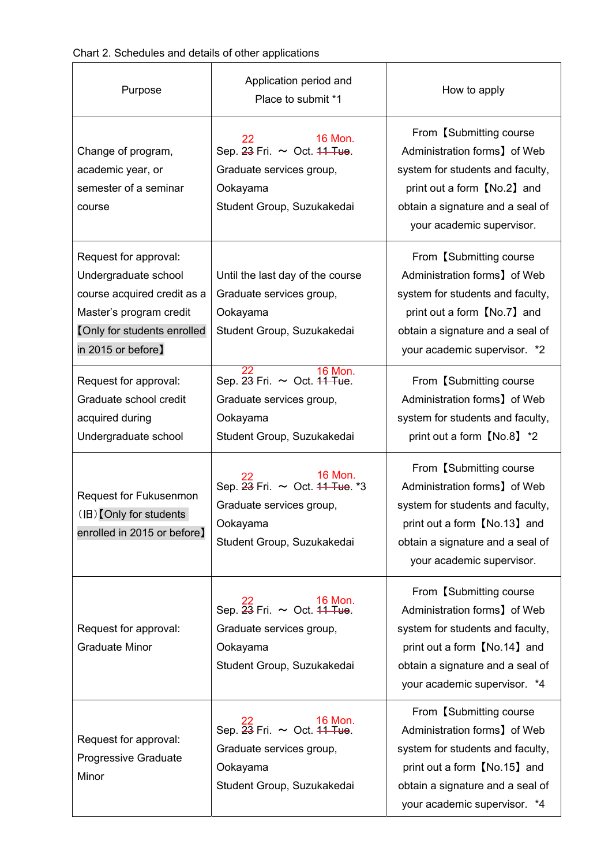| Chart 2. Schedules and details of other applications |  |
|------------------------------------------------------|--|
|------------------------------------------------------|--|

| Purpose                                                                                                                                                             | Application period and<br>Place to submit *1                                                                                                | How to apply                                                                                                                                                                                    |
|---------------------------------------------------------------------------------------------------------------------------------------------------------------------|---------------------------------------------------------------------------------------------------------------------------------------------|-------------------------------------------------------------------------------------------------------------------------------------------------------------------------------------------------|
| Change of program,<br>academic year, or<br>semester of a seminar<br>course                                                                                          | 16 Mon.<br>22<br>Sep. 23 Fri. ~ Oct. 44 Tue.<br>Graduate services group,<br>Ookayama<br>Student Group, Suzukakedai                          | From [Submitting course]<br>Administration forms] of Web<br>system for students and faculty,<br>print out a form [No.2] and<br>obtain a signature and a seal of<br>your academic supervisor.    |
| Request for approval:<br>Undergraduate school<br>course acquired credit as a<br>Master's program credit<br><b>[Only for students enrolled</b><br>in 2015 or before] | Until the last day of the course<br>Graduate services group,<br>Ookayama<br>Student Group, Suzukakedai                                      | From 【Submitting course<br>Administration forms] of Web<br>system for students and faculty,<br>print out a form [No.7] and<br>obtain a signature and a seal of<br>your academic supervisor. *2  |
| Request for approval:<br>Graduate school credit<br>acquired during<br>Undergraduate school                                                                          | <b>16 Mon.</b><br>Sep. 23 Fri. ~ Oct. 44 Tue.<br>Graduate services group,<br>Ookayama<br>Student Group, Suzukakedai                         | From 【Submitting course<br>Administration forms] of Web<br>system for students and faculty,<br>print out a form [No.8] *2                                                                       |
| Request for Fukusenmon<br>(旧) Only for students<br>enrolled in 2015 or before]                                                                                      | 16 Mon.<br>Sep. 23 Fri. ~ Oct. 44 Tue. *3<br>Graduate services group,<br>Ookayama<br>Student Group, Suzukakedai                             | From 【Submitting course<br>Administration forms] of Web<br>system for students and faculty,<br>print out a form 【No.13】 and<br>obtain a signature and a seal of<br>your academic supervisor.    |
| Request for approval:<br><b>Graduate Minor</b>                                                                                                                      | $\frac{22}{16}$ Mon.<br>Sep. $\frac{23}{16}$ Fri. $\sim$ Oct. 44 Tue.<br>Graduate services group,<br>Ookayama<br>Student Group, Suzukakedai | From 【Submitting course<br>Administration forms] of Web<br>system for students and faculty,<br>print out a form 【No.14】 and<br>obtain a signature and a seal of<br>your academic supervisor. *4 |
| Request for approval:<br>Progressive Graduate<br>Minor                                                                                                              | $22$<br>Sep. $23$ Fri. $\sim$ Oct. 44 Tue.<br>Graduate services group,<br>Ookayama<br>Student Group, Suzukakedai                            | From 【Submitting course<br>Administration forms] of Web<br>system for students and faculty,<br>print out a form 【No.15】 and<br>obtain a signature and a seal of<br>your academic supervisor. *4 |